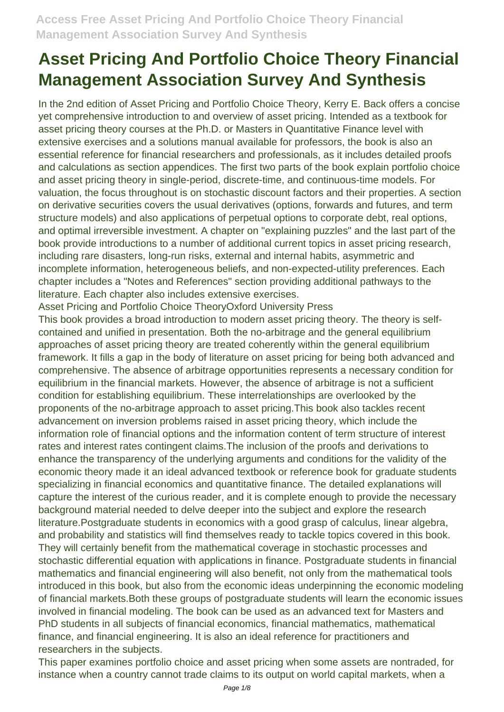In the 2nd edition of Asset Pricing and Portfolio Choice Theory, Kerry E. Back offers a concise yet comprehensive introduction to and overview of asset pricing. Intended as a textbook for asset pricing theory courses at the Ph.D. or Masters in Quantitative Finance level with extensive exercises and a solutions manual available for professors, the book is also an essential reference for financial researchers and professionals, as it includes detailed proofs and calculations as section appendices. The first two parts of the book explain portfolio choice and asset pricing theory in single-period, discrete-time, and continuous-time models. For valuation, the focus throughout is on stochastic discount factors and their properties. A section on derivative securities covers the usual derivatives (options, forwards and futures, and term structure models) and also applications of perpetual options to corporate debt, real options, and optimal irreversible investment. A chapter on "explaining puzzles" and the last part of the book provide introductions to a number of additional current topics in asset pricing research, including rare disasters, long-run risks, external and internal habits, asymmetric and incomplete information, heterogeneous beliefs, and non-expected-utility preferences. Each chapter includes a "Notes and References" section providing additional pathways to the literature. Each chapter also includes extensive exercises.

Asset Pricing and Portfolio Choice TheoryOxford University Press

This book provides a broad introduction to modern asset pricing theory. The theory is selfcontained and unified in presentation. Both the no-arbitrage and the general equilibrium approaches of asset pricing theory are treated coherently within the general equilibrium framework. It fills a gap in the body of literature on asset pricing for being both advanced and comprehensive. The absence of arbitrage opportunities represents a necessary condition for equilibrium in the financial markets. However, the absence of arbitrage is not a sufficient condition for establishing equilibrium. These interrelationships are overlooked by the proponents of the no-arbitrage approach to asset pricing.This book also tackles recent advancement on inversion problems raised in asset pricing theory, which include the information role of financial options and the information content of term structure of interest rates and interest rates contingent claims.The inclusion of the proofs and derivations to enhance the transparency of the underlying arguments and conditions for the validity of the economic theory made it an ideal advanced textbook or reference book for graduate students specializing in financial economics and quantitative finance. The detailed explanations will capture the interest of the curious reader, and it is complete enough to provide the necessary background material needed to delve deeper into the subject and explore the research literature.Postgraduate students in economics with a good grasp of calculus, linear algebra, and probability and statistics will find themselves ready to tackle topics covered in this book. They will certainly benefit from the mathematical coverage in stochastic processes and stochastic differential equation with applications in finance. Postgraduate students in financial mathematics and financial engineering will also benefit, not only from the mathematical tools introduced in this book, but also from the economic ideas underpinning the economic modeling of financial markets.Both these groups of postgraduate students will learn the economic issues involved in financial modeling. The book can be used as an advanced text for Masters and PhD students in all subjects of financial economics, financial mathematics, mathematical finance, and financial engineering. It is also an ideal reference for practitioners and researchers in the subjects.

This paper examines portfolio choice and asset pricing when some assets are nontraded, for instance when a country cannot trade claims to its output on world capital markets, when a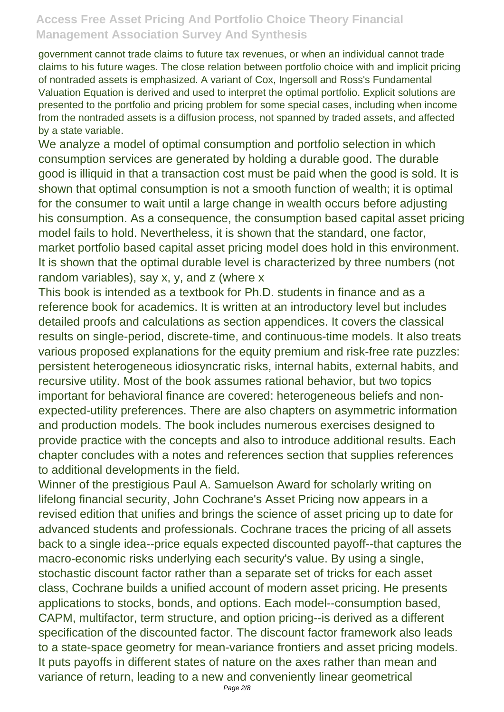government cannot trade claims to future tax revenues, or when an individual cannot trade claims to his future wages. The close relation between portfolio choice with and implicit pricing of nontraded assets is emphasized. A variant of Cox, Ingersoll and Ross's Fundamental Valuation Equation is derived and used to interpret the optimal portfolio. Explicit solutions are presented to the portfolio and pricing problem for some special cases, including when income from the nontraded assets is a diffusion process, not spanned by traded assets, and affected by a state variable.

We analyze a model of optimal consumption and portfolio selection in which consumption services are generated by holding a durable good. The durable good is illiquid in that a transaction cost must be paid when the good is sold. It is shown that optimal consumption is not a smooth function of wealth; it is optimal for the consumer to wait until a large change in wealth occurs before adjusting his consumption. As a consequence, the consumption based capital asset pricing model fails to hold. Nevertheless, it is shown that the standard, one factor, market portfolio based capital asset pricing model does hold in this environment. It is shown that the optimal durable level is characterized by three numbers (not random variables), say x, y, and z (where x

This book is intended as a textbook for Ph.D. students in finance and as a reference book for academics. It is written at an introductory level but includes detailed proofs and calculations as section appendices. It covers the classical results on single-period, discrete-time, and continuous-time models. It also treats various proposed explanations for the equity premium and risk-free rate puzzles: persistent heterogeneous idiosyncratic risks, internal habits, external habits, and recursive utility. Most of the book assumes rational behavior, but two topics important for behavioral finance are covered: heterogeneous beliefs and nonexpected-utility preferences. There are also chapters on asymmetric information and production models. The book includes numerous exercises designed to provide practice with the concepts and also to introduce additional results. Each chapter concludes with a notes and references section that supplies references to additional developments in the field.

Winner of the prestigious Paul A. Samuelson Award for scholarly writing on lifelong financial security, John Cochrane's Asset Pricing now appears in a revised edition that unifies and brings the science of asset pricing up to date for advanced students and professionals. Cochrane traces the pricing of all assets back to a single idea--price equals expected discounted payoff--that captures the macro-economic risks underlying each security's value. By using a single, stochastic discount factor rather than a separate set of tricks for each asset class, Cochrane builds a unified account of modern asset pricing. He presents applications to stocks, bonds, and options. Each model--consumption based, CAPM, multifactor, term structure, and option pricing--is derived as a different specification of the discounted factor. The discount factor framework also leads to a state-space geometry for mean-variance frontiers and asset pricing models. It puts payoffs in different states of nature on the axes rather than mean and variance of return, leading to a new and conveniently linear geometrical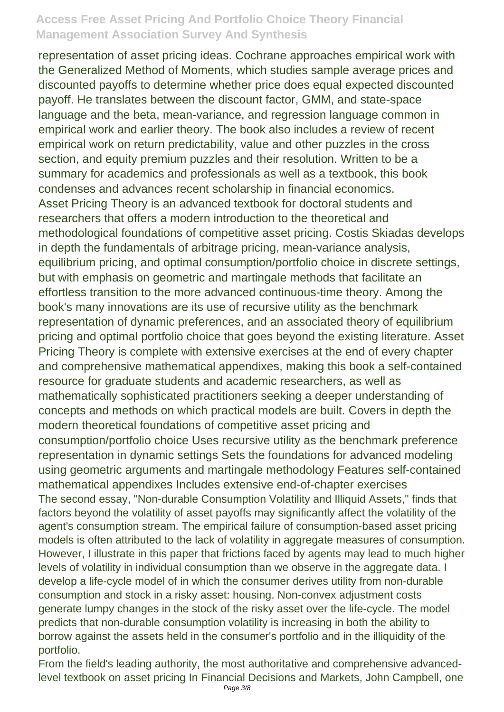representation of asset pricing ideas. Cochrane approaches empirical work with the Generalized Method of Moments, which studies sample average prices and discounted payoffs to determine whether price does equal expected discounted payoff. He translates between the discount factor, GMM, and state-space language and the beta, mean-variance, and regression language common in empirical work and earlier theory. The book also includes a review of recent empirical work on return predictability, value and other puzzles in the cross section, and equity premium puzzles and their resolution. Written to be a summary for academics and professionals as well as a textbook, this book condenses and advances recent scholarship in financial economics. Asset Pricing Theory is an advanced textbook for doctoral students and researchers that offers a modern introduction to the theoretical and methodological foundations of competitive asset pricing. Costis Skiadas develops in depth the fundamentals of arbitrage pricing, mean-variance analysis, equilibrium pricing, and optimal consumption/portfolio choice in discrete settings, but with emphasis on geometric and martingale methods that facilitate an effortless transition to the more advanced continuous-time theory. Among the book's many innovations are its use of recursive utility as the benchmark representation of dynamic preferences, and an associated theory of equilibrium pricing and optimal portfolio choice that goes beyond the existing literature. Asset Pricing Theory is complete with extensive exercises at the end of every chapter and comprehensive mathematical appendixes, making this book a self-contained resource for graduate students and academic researchers, as well as mathematically sophisticated practitioners seeking a deeper understanding of concepts and methods on which practical models are built. Covers in depth the modern theoretical foundations of competitive asset pricing and consumption/portfolio choice Uses recursive utility as the benchmark preference representation in dynamic settings Sets the foundations for advanced modeling using geometric arguments and martingale methodology Features self-contained mathematical appendixes Includes extensive end-of-chapter exercises The second essay, "Non-durable Consumption Volatility and Illiquid Assets," finds that factors beyond the volatility of asset payoffs may significantly affect the volatility of the agent's consumption stream. The empirical failure of consumption-based asset pricing models is often attributed to the lack of volatility in aggregate measures of consumption. However, I illustrate in this paper that frictions faced by agents may lead to much higher levels of volatility in individual consumption than we observe in the aggregate data. I develop a life-cycle model of in which the consumer derives utility from non-durable consumption and stock in a risky asset: housing. Non-convex adjustment costs generate lumpy changes in the stock of the risky asset over the life-cycle. The model predicts that non-durable consumption volatility is increasing in both the ability to borrow against the assets held in the consumer's portfolio and in the illiquidity of the portfolio.

From the field's leading authority, the most authoritative and comprehensive advancedlevel textbook on asset pricing In Financial Decisions and Markets, John Campbell, one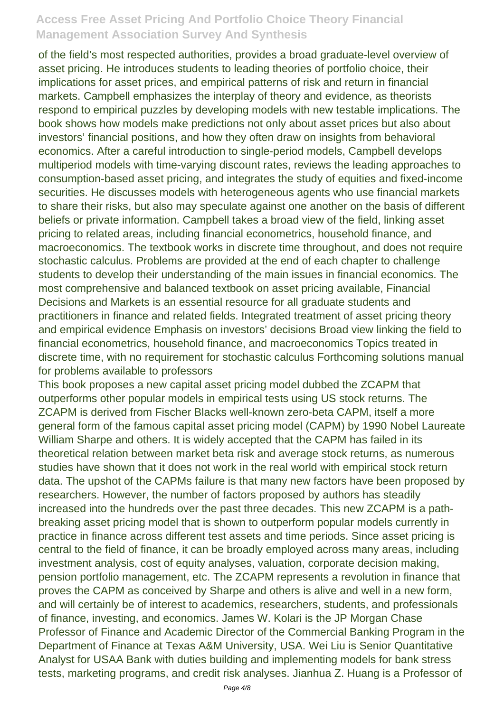of the field's most respected authorities, provides a broad graduate-level overview of asset pricing. He introduces students to leading theories of portfolio choice, their implications for asset prices, and empirical patterns of risk and return in financial markets. Campbell emphasizes the interplay of theory and evidence, as theorists respond to empirical puzzles by developing models with new testable implications. The book shows how models make predictions not only about asset prices but also about investors' financial positions, and how they often draw on insights from behavioral economics. After a careful introduction to single-period models, Campbell develops multiperiod models with time-varying discount rates, reviews the leading approaches to consumption-based asset pricing, and integrates the study of equities and fixed-income securities. He discusses models with heterogeneous agents who use financial markets to share their risks, but also may speculate against one another on the basis of different beliefs or private information. Campbell takes a broad view of the field, linking asset pricing to related areas, including financial econometrics, household finance, and macroeconomics. The textbook works in discrete time throughout, and does not require stochastic calculus. Problems are provided at the end of each chapter to challenge students to develop their understanding of the main issues in financial economics. The most comprehensive and balanced textbook on asset pricing available, Financial Decisions and Markets is an essential resource for all graduate students and practitioners in finance and related fields. Integrated treatment of asset pricing theory and empirical evidence Emphasis on investors' decisions Broad view linking the field to financial econometrics, household finance, and macroeconomics Topics treated in discrete time, with no requirement for stochastic calculus Forthcoming solutions manual for problems available to professors

This book proposes a new capital asset pricing model dubbed the ZCAPM that outperforms other popular models in empirical tests using US stock returns. The ZCAPM is derived from Fischer Blacks well-known zero-beta CAPM, itself a more general form of the famous capital asset pricing model (CAPM) by 1990 Nobel Laureate William Sharpe and others. It is widely accepted that the CAPM has failed in its theoretical relation between market beta risk and average stock returns, as numerous studies have shown that it does not work in the real world with empirical stock return data. The upshot of the CAPMs failure is that many new factors have been proposed by researchers. However, the number of factors proposed by authors has steadily increased into the hundreds over the past three decades. This new ZCAPM is a pathbreaking asset pricing model that is shown to outperform popular models currently in practice in finance across different test assets and time periods. Since asset pricing is central to the field of finance, it can be broadly employed across many areas, including investment analysis, cost of equity analyses, valuation, corporate decision making, pension portfolio management, etc. The ZCAPM represents a revolution in finance that proves the CAPM as conceived by Sharpe and others is alive and well in a new form, and will certainly be of interest to academics, researchers, students, and professionals of finance, investing, and economics. James W. Kolari is the JP Morgan Chase Professor of Finance and Academic Director of the Commercial Banking Program in the Department of Finance at Texas A&M University, USA. Wei Liu is Senior Quantitative Analyst for USAA Bank with duties building and implementing models for bank stress tests, marketing programs, and credit risk analyses. Jianhua Z. Huang is a Professor of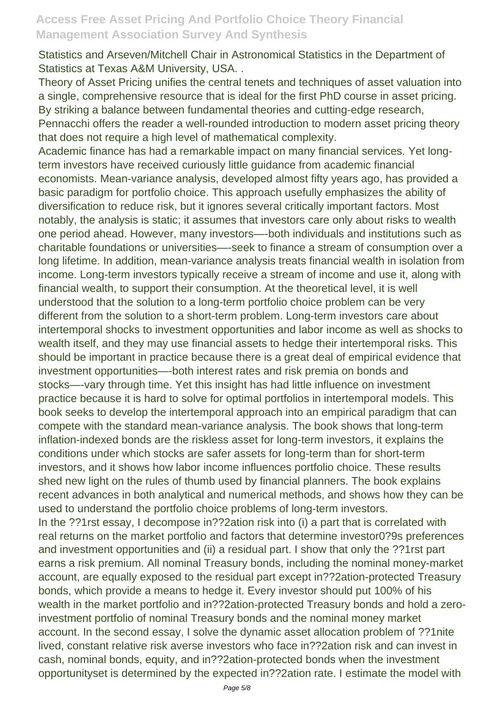Statistics and Arseven/Mitchell Chair in Astronomical Statistics in the Department of Statistics at Texas A&M University, USA. .

Theory of Asset Pricing unifies the central tenets and techniques of asset valuation into a single, comprehensive resource that is ideal for the first PhD course in asset pricing. By striking a balance between fundamental theories and cutting-edge research, Pennacchi offers the reader a well-rounded introduction to modern asset pricing theory that does not require a high level of mathematical complexity.

Academic finance has had a remarkable impact on many financial services. Yet longterm investors have received curiously little guidance from academic financial economists. Mean-variance analysis, developed almost fifty years ago, has provided a basic paradigm for portfolio choice. This approach usefully emphasizes the ability of diversification to reduce risk, but it ignores several critically important factors. Most notably, the analysis is static; it assumes that investors care only about risks to wealth one period ahead. However, many investors—-both individuals and institutions such as charitable foundations or universities—-seek to finance a stream of consumption over a long lifetime. In addition, mean-variance analysis treats financial wealth in isolation from income. Long-term investors typically receive a stream of income and use it, along with financial wealth, to support their consumption. At the theoretical level, it is well understood that the solution to a long-term portfolio choice problem can be very different from the solution to a short-term problem. Long-term investors care about intertemporal shocks to investment opportunities and labor income as well as shocks to wealth itself, and they may use financial assets to hedge their intertemporal risks. This should be important in practice because there is a great deal of empirical evidence that investment opportunities—-both interest rates and risk premia on bonds and stocks—-vary through time. Yet this insight has had little influence on investment practice because it is hard to solve for optimal portfolios in intertemporal models. This book seeks to develop the intertemporal approach into an empirical paradigm that can compete with the standard mean-variance analysis. The book shows that long-term inflation-indexed bonds are the riskless asset for long-term investors, it explains the conditions under which stocks are safer assets for long-term than for short-term investors, and it shows how labor income influences portfolio choice. These results shed new light on the rules of thumb used by financial planners. The book explains recent advances in both analytical and numerical methods, and shows how they can be used to understand the portfolio choice problems of long-term investors. In the ??1rst essay, I decompose in??2ation risk into (i) a part that is correlated with

real returns on the market portfolio and factors that determine investor0?9s preferences and investment opportunities and (ii) a residual part. I show that only the ??1rst part earns a risk premium. All nominal Treasury bonds, including the nominal money-market account, are equally exposed to the residual part except in??2ation-protected Treasury bonds, which provide a means to hedge it. Every investor should put 100% of his wealth in the market portfolio and in??2ation-protected Treasury bonds and hold a zeroinvestment portfolio of nominal Treasury bonds and the nominal money market account. In the second essay, I solve the dynamic asset allocation problem of ??1nite lived, constant relative risk averse investors who face in??2ation risk and can invest in cash, nominal bonds, equity, and in??2ation-protected bonds when the investment opportunityset is determined by the expected in??2ation rate. I estimate the model with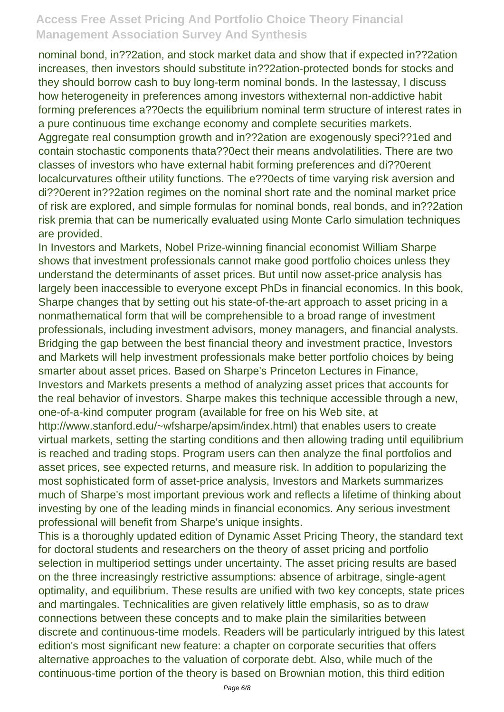nominal bond, in??2ation, and stock market data and show that if expected in??2ation increases, then investors should substitute in??2ation-protected bonds for stocks and they should borrow cash to buy long-term nominal bonds. In the lastessay, I discuss how heterogeneity in preferences among investors withexternal non-addictive habit forming preferences a??0ects the equilibrium nominal term structure of interest rates in a pure continuous time exchange economy and complete securities markets. Aggregate real consumption growth and in??2ation are exogenously speci??1ed and contain stochastic components thata??0ect their means andvolatilities. There are two classes of investors who have external habit forming preferences and di??0erent localcurvatures oftheir utility functions. The e??0ects of time varying risk aversion and di??0erent in??2ation regimes on the nominal short rate and the nominal market price of risk are explored, and simple formulas for nominal bonds, real bonds, and in??2ation risk premia that can be numerically evaluated using Monte Carlo simulation techniques are provided.

In Investors and Markets, Nobel Prize-winning financial economist William Sharpe shows that investment professionals cannot make good portfolio choices unless they understand the determinants of asset prices. But until now asset-price analysis has largely been inaccessible to everyone except PhDs in financial economics. In this book, Sharpe changes that by setting out his state-of-the-art approach to asset pricing in a nonmathematical form that will be comprehensible to a broad range of investment professionals, including investment advisors, money managers, and financial analysts. Bridging the gap between the best financial theory and investment practice, Investors and Markets will help investment professionals make better portfolio choices by being smarter about asset prices. Based on Sharpe's Princeton Lectures in Finance, Investors and Markets presents a method of analyzing asset prices that accounts for the real behavior of investors. Sharpe makes this technique accessible through a new, one-of-a-kind computer program (available for free on his Web site, at http://www.stanford.edu/~wfsharpe/apsim/index.html) that enables users to create

virtual markets, setting the starting conditions and then allowing trading until equilibrium is reached and trading stops. Program users can then analyze the final portfolios and asset prices, see expected returns, and measure risk. In addition to popularizing the most sophisticated form of asset-price analysis, Investors and Markets summarizes much of Sharpe's most important previous work and reflects a lifetime of thinking about investing by one of the leading minds in financial economics. Any serious investment professional will benefit from Sharpe's unique insights.

This is a thoroughly updated edition of Dynamic Asset Pricing Theory, the standard text for doctoral students and researchers on the theory of asset pricing and portfolio selection in multiperiod settings under uncertainty. The asset pricing results are based on the three increasingly restrictive assumptions: absence of arbitrage, single-agent optimality, and equilibrium. These results are unified with two key concepts, state prices and martingales. Technicalities are given relatively little emphasis, so as to draw connections between these concepts and to make plain the similarities between discrete and continuous-time models. Readers will be particularly intrigued by this latest edition's most significant new feature: a chapter on corporate securities that offers alternative approaches to the valuation of corporate debt. Also, while much of the continuous-time portion of the theory is based on Brownian motion, this third edition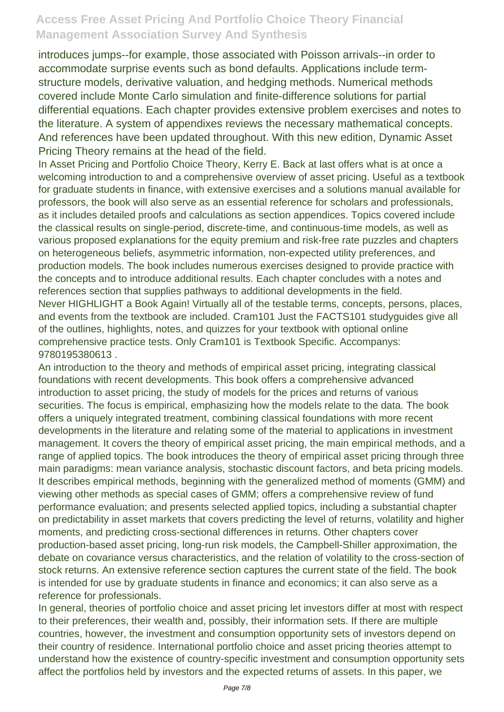introduces jumps--for example, those associated with Poisson arrivals--in order to accommodate surprise events such as bond defaults. Applications include termstructure models, derivative valuation, and hedging methods. Numerical methods covered include Monte Carlo simulation and finite-difference solutions for partial differential equations. Each chapter provides extensive problem exercises and notes to the literature. A system of appendixes reviews the necessary mathematical concepts. And references have been updated throughout. With this new edition, Dynamic Asset Pricing Theory remains at the head of the field.

In Asset Pricing and Portfolio Choice Theory, Kerry E. Back at last offers what is at once a welcoming introduction to and a comprehensive overview of asset pricing. Useful as a textbook for graduate students in finance, with extensive exercises and a solutions manual available for professors, the book will also serve as an essential reference for scholars and professionals, as it includes detailed proofs and calculations as section appendices. Topics covered include the classical results on single-period, discrete-time, and continuous-time models, as well as various proposed explanations for the equity premium and risk-free rate puzzles and chapters on heterogeneous beliefs, asymmetric information, non-expected utility preferences, and production models. The book includes numerous exercises designed to provide practice with the concepts and to introduce additional results. Each chapter concludes with a notes and references section that supplies pathways to additional developments in the field.

Never HIGHLIGHT a Book Again! Virtually all of the testable terms, concepts, persons, places, and events from the textbook are included. Cram101 Just the FACTS101 studyguides give all of the outlines, highlights, notes, and quizzes for your textbook with optional online comprehensive practice tests. Only Cram101 is Textbook Specific. Accompanys: 9780195380613 .

An introduction to the theory and methods of empirical asset pricing, integrating classical foundations with recent developments. This book offers a comprehensive advanced introduction to asset pricing, the study of models for the prices and returns of various securities. The focus is empirical, emphasizing how the models relate to the data. The book offers a uniquely integrated treatment, combining classical foundations with more recent developments in the literature and relating some of the material to applications in investment management. It covers the theory of empirical asset pricing, the main empirical methods, and a range of applied topics. The book introduces the theory of empirical asset pricing through three main paradigms: mean variance analysis, stochastic discount factors, and beta pricing models. It describes empirical methods, beginning with the generalized method of moments (GMM) and viewing other methods as special cases of GMM; offers a comprehensive review of fund performance evaluation; and presents selected applied topics, including a substantial chapter on predictability in asset markets that covers predicting the level of returns, volatility and higher moments, and predicting cross-sectional differences in returns. Other chapters cover production-based asset pricing, long-run risk models, the Campbell-Shiller approximation, the debate on covariance versus characteristics, and the relation of volatility to the cross-section of stock returns. An extensive reference section captures the current state of the field. The book is intended for use by graduate students in finance and economics; it can also serve as a reference for professionals.

In general, theories of portfolio choice and asset pricing let investors differ at most with respect to their preferences, their wealth and, possibly, their information sets. If there are multiple countries, however, the investment and consumption opportunity sets of investors depend on their country of residence. International portfolio choice and asset pricing theories attempt to understand how the existence of country-specific investment and consumption opportunity sets affect the portfolios held by investors and the expected returns of assets. In this paper, we